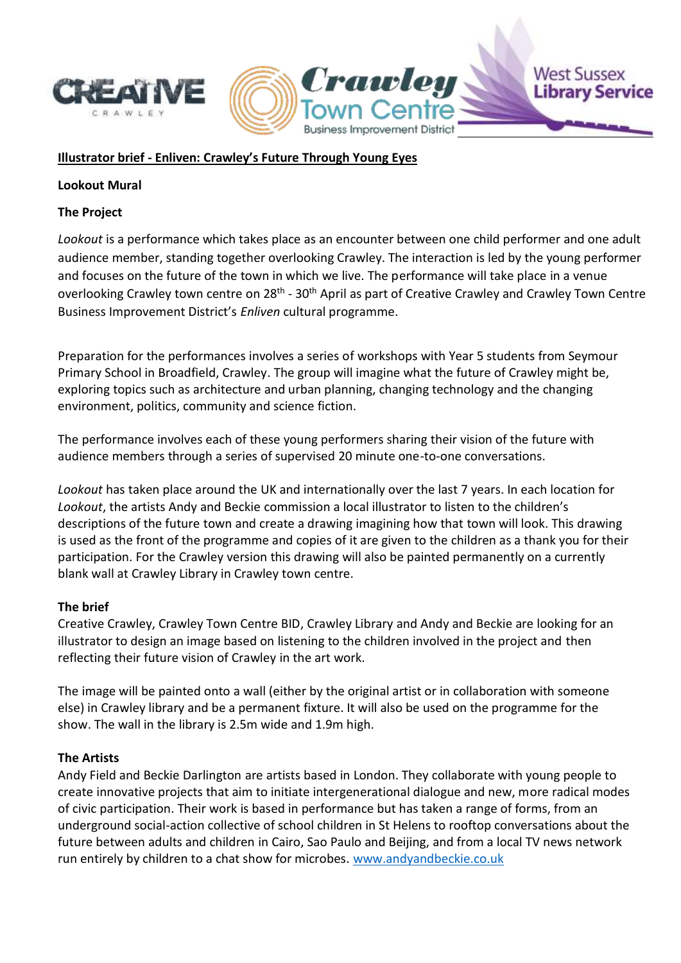

# **Illustrator brief - Enliven: Crawley's Future Through Young Eyes**

### **Lookout Mural**

### **The Project**

*Lookout* is a performance which takes place as an encounter between one child performer and one adult audience member, standing together overlooking Crawley. The interaction is led by the young performer and focuses on the future of the town in which we live. The performance will take place in a venue overlooking Crawley town centre on 28<sup>th</sup> - 30<sup>th</sup> April as part of Creative Crawley and Crawley Town Centre Business Improvement District's *Enliven* cultural programme.

Crawlet

**Business Improvement District** 

**West Sussex** 

**Library Service** 

Preparation for the performances involves a series of workshops with Year 5 students from Seymour Primary School in Broadfield, Crawley. The group will imagine what the future of Crawley might be, exploring topics such as architecture and urban planning, changing technology and the changing environment, politics, community and science fiction.

The performance involves each of these young performers sharing their vision of the future with audience members through a series of supervised 20 minute one-to-one conversations.

*Lookout* has taken place around the UK and internationally over the last 7 years. In each location for *Lookout*, the artists Andy and Beckie commission a local illustrator to listen to the children's descriptions of the future town and create a drawing imagining how that town will look. This drawing is used as the front of the programme and copies of it are given to the children as a thank you for their participation. For the Crawley version this drawing will also be painted permanently on a currently blank wall at Crawley Library in Crawley town centre.

#### **The brief**

Creative Crawley, Crawley Town Centre BID, Crawley Library and Andy and Beckie are looking for an illustrator to design an image based on listening to the children involved in the project and then reflecting their future vision of Crawley in the art work.

The image will be painted onto a wall (either by the original artist or in collaboration with someone else) in Crawley library and be a permanent fixture. It will also be used on the programme for the show. The wall in the library is 2.5m wide and 1.9m high.

#### **The Artists**

Andy Field and Beckie Darlington are artists based in London. They collaborate with young people to create innovative projects that aim to initiate intergenerational dialogue and new, more radical modes of civic participation. Their work is based in performance but has taken a range of forms, from an underground social-action collective of school children in St Helens to rooftop conversations about the future between adults and children in Cairo, Sao Paulo and Beijing, and from a local TV news network run entirely by children to a chat show for microbes. [www.andyandbeckie.co.uk](http://www.andyandbeckie.co.uk/)